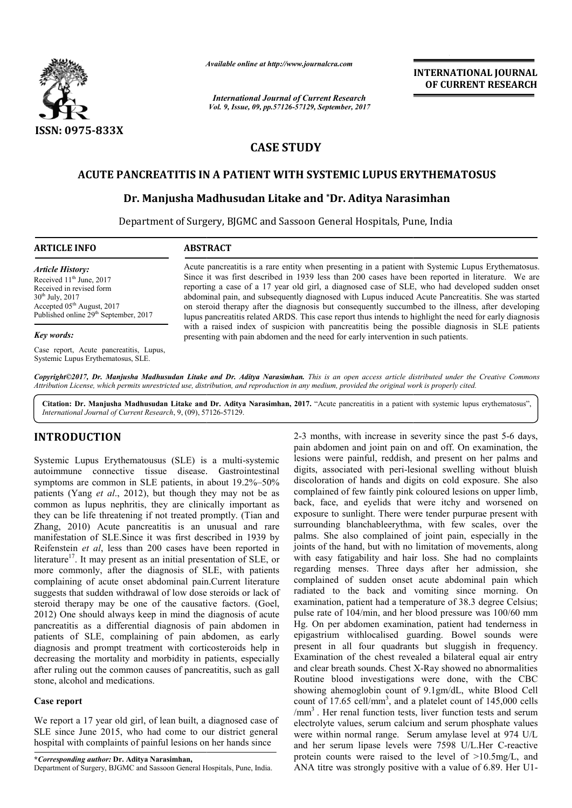

*Available online at http://www.journal http://www.journalcra.com*

*International Journal of Current Research Vol. 9, Issue, 09, pp.57126-57129, September, 2017* **INTERNATIONAL JOURNAL OF CURRENT RESEARCH** 

# **CASE STUDY**

## **ACUTE PANCREATITIS IN A PATIENT WITH SYSTEMIC LUPUS ERYTHEMATOSUS**

## **Dr. Manjusha Madhusudan Litake and \*Dr. Aditya Narasimhan**

Department of Surgery, BJGMC and Sassoon General Hospitals, Pune, Pune, India

### **ARTICLE INFO ABSTRACT**

*Article History:* Received 11<sup>th</sup> June, 2017 Received in revised form 30th July, 2017 Accepted 05<sup>th</sup> August, 2017 Published online 29<sup>th</sup> September, 2017

#### *Key words:*

Case report, Acute pancreatitis, Lupus, Systemic Lupus Erythematosus, SLE.

Acute pancreatitis is a rare entity when presenting in a patient with Systemic Lupus Erythematosus. Since it was first described in 1939 less than 200 cases have been reported in literature. We are reporting a case of a 17 year old girl, a diagnosed case of SLE, who had developed sudden onset abdominal pain, and subsequently diagnosed with Lupus induced Acute Pancreatitis. She was started on steroid therapy after the diagnosis but consequently succumbed t lupus pancreatitis related ARDS. This case report thus intends to highlight the need for early diagnosis with a raised index of suspicion with pancreatitis being the possible diagnosis in SLE patients presenting with pain abdomen and the need for early intervention in such patients. Acute pancreatitis is a rare entity when presenting in a patient with Systemic Lupus Erythematosus.<br>Since it was first described in 1939 less than 200 cases have been reported in literature. We are<br>reporting a case of a 17 lupus pancreatitis related ARDS. This case report thus intends to highlight the need for early diagnosis with a raised index of suspicion with pancreatitis being the possible diagnosis in SLE patients presenting with pain

*Copyright©2017, Dr. Manjusha Madhusudan Litake and Dr. Aditya Narasimhan Narasimhan. This is an open access article distributed under the Creative Commons Attribution License, which permits unrestricted use, distribution, and reproduction in any medium, provided the original work is properly cited. the Creative any medium,* 

Citation: Dr. Manjusha Madhusudan Litake and Dr. Aditya Narasimhan, 2017. "Acute pancreatitis in a patient with systemic lupus erythematosus", *International Journal of Current Research*, 9, (09), 57 57126-57129.

## **INTRODUCTION**

Systemic Lupus Erythematousus (SLE) is a multi-systemic autoimmune connective tissue disease. Gastrointestinal symptoms are common in SLE patients, in about 19.2%–50% patients (Yang *et al.*, 2012), but though they may not be as common as lupus nephritis, they are clinically important as they can be life threatening if not treated promptly. (Tian and Zhang, 2010) Acute pancreatitis is an unusual and rare manifestation of SLE.Since it was first described in 1939 by Reifenstein *et al*, less than 200 cases have been reported in literature<sup>17</sup>. It may present as an initial presentation of SLE, or more commonly, after the diagnosis of SLE, with patients complaining of acute onset abdominal pain.Current literature suggests that sudden withdrawal of low dose steroids or lack of steroid therapy may be one of the causative factors. (Goel, 2012) One should always keep in mind the diagnosis of acute pancreatitis as a differential diagnosis of pain abdomen in patients of SLE, complaining of pain abdomen, as early diagnosis and prompt treatment with corticosteroids help in decreasing the mortality and morbidity in patients, especially after ruling out the common causes of pancreatitis, such as gall stone, alcohol and medications.

#### **Case report**

We report a 17 year old girl, of lean built, a diagnosed case of SLE since June 2015, who had come to our district general hospital with complaints of painful lesions on her hands since

**\****Corresponding author:* **Dr. Aditya Narasimhan,** Department of Surgery, BJGMC and Sassoon General Hospitals, Pune, India.

2-3 months, with increase in severity since the past 5-6 days, pain abdomen and joint pain on and off. On examination, the lesions were painful, reddish, and present on her palms and digits, associated with peri-lesional swelling without bluish discoloration of hands and digits on cold exposure. She also complained of few faintly pink coloured lesions on upper limb, back, face, and eyelids that were itchy and worsened on exposure to sunlight. There were tender purpurae present with surrounding blanchableerythma, with few scales, over the palms. She also complained of joint pain, especially in the joints of the hand, but with no limitation of movements, along with easy fatigability and hair loss. She had no complaints regarding menses. Three days after her admission, she complained of sudden onset acute abdominal pain which radiated to the back and vomiting since morning. On examination, patient had a temperature of 38.3 degree Celsius; pulse rate of 104/min, and her blood pressure was 100/60 mm Hg. On per abdomen examination, patient had tenderness in epigastrium withlocalised guarding. Bowel sounds were present in all four quadrants but sluggish in frequency. Examination of the chest revealed a bilateral equal air entry and clear breath sounds. Chest X-Ray showed no abnormalities Routine blood investigations were done, with the CBC showing ahemoglobin count of 9.1gm/dL, white Blood Cell count of 17.65 cell/mm<sup>3</sup>, and a platelet count of 145,000 cells  $\text{/mm}^3$ . Her renal function tests, liver function tests and serum electrolyte values, serum calcium and serum phosphate values were within normal range. Serum amylase level at 974 U/L and her serum lipase levels were 7598 U/L.Her C protein counts were raised to the level of >10.5mg/L, and protein counts were raised to the level of  $>10.5 \text{mg/L}$ , and ANA titre was strongly positive with a value of 6.89. Her U1n and joint pain on and off. On examination, the painful, reddish, and present on her palms and ated with peri-lesional swelling without bluish of hands and digits on cold exposure. She also f few faintly pink coloured les is. She also complained of joint pain, especially in the of the hand, but with no limitation of movements, along easy fatigability and hair loss. She had no complaints ding menses. Three days after her admission, she ed of sudden onset acute abdominal pain which<br>to the back and vomiting since morning. On<br>on, patient had a temperature of 38.3 degree Celsius;<br>of 104/min, and her blood pressure was 100/60 mm<br>er abdomen examination, patien outine blood investigations were done, with the CBC<br>nowing ahemoglobin count of 9.1gm/dL, white Blood Cell<br>bunt of 17.65 cell/mm<sup>3</sup>, and a platelet count of 145,000 cells<br>nm<sup>3</sup>. Her renal function tests, liver function tes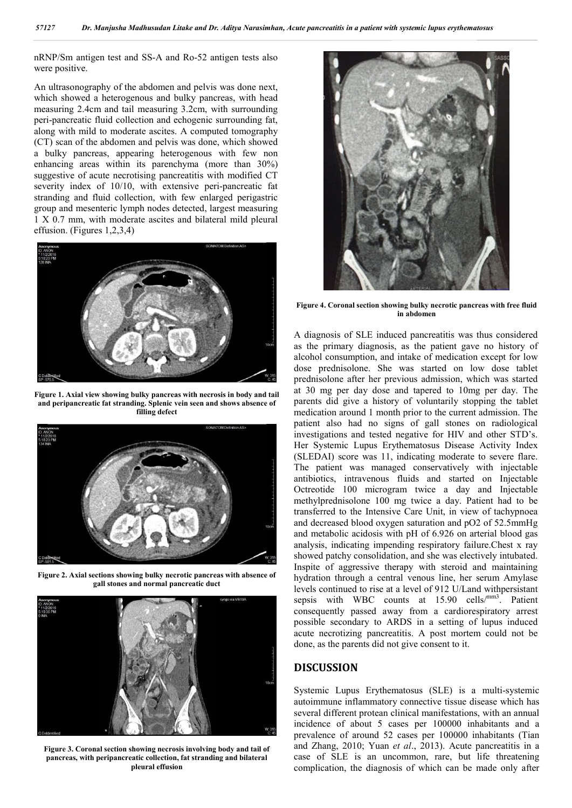nRNP/Sm antigen test and SS-A and Ro-52 antigen tests also were positive.

An ultrasonography of the abdomen and pelvis was done next, which showed a heterogenous and bulky pancreas, with head measuring 2.4cm and tail measuring 3.2cm, with surrounding peri-pancreatic fluid collection and echogenic surrounding fat, along with mild to moderate ascites. A computed tomography (CT) scan of the abdomen and pelvis was done, which showed a bulky pancreas, appearing heterogenous with few non enhancing areas within its parenchyma (more than 30%) suggestive of acute necrotising pancreatitis with modified CT severity index of 10/10, with extensive peri-pancreatic fat stranding and fluid collection, with few enlarged perigastric group and mesenteric lymph nodes detected, largest measuring 1 X 0.7 mm, with moderate ascites and bilateral mild pleural effusion. (Figures 1,2,3,4)



**Figure 1. Axial view showing bulky pancreas with necrosis in body and tail and peripancreatic fat stranding. Splenic vein seen and shows absence of filling defect**



**Figure 2. Axial sections showing bulky necrotic pancreas with absence of gall stones and normal pancreatic duct**



**Figure 3. Coronal section showing necrosis involving body and tail of pancreas, with peripancreatic collection, fat stranding and bilateral pleural effusion**



**Figure 4. Coronal section showing bulky necrotic pancreas with free fluid in abdomen**

A diagnosis of SLE induced pancreatitis was thus considered as the primary diagnosis, as the patient gave no history of alcohol consumption, and intake of medication except for low dose prednisolone. She was started on low dose tablet prednisolone after her previous admission, which was started at 30 mg per day dose and tapered to 10mg per day. The parents did give a history of voluntarily stopping the tablet medication around 1 month prior to the current admission. The patient also had no signs of gall stones on radiological investigations and tested negative for HIV and other STD's. Her Systemic Lupus Erythematosus Disease Activity Index (SLEDAI) score was 11, indicating moderate to severe flare. The patient was managed conservatively with injectable antibiotics, intravenous fluids and started on Injectable Octreotide 100 microgram twice a day and Injectable methylprednisolone 100 mg twice a day. Patient had to be transferred to the Intensive Care Unit, in view of tachypnoea and decreased blood oxygen saturation and pO2 of 52.5mmHg and metabolic acidosis with pH of 6.926 on arterial blood gas analysis, indicating impending respiratory failure.Chest x ray showed patchy consolidation, and she was electively intubated. Inspite of aggressive therapy with steroid and maintaining hydration through a central venous line, her serum Amylase levels continued to rise at a level of 912 U/Land withpersistant sepsis with WBC counts at 15.90 cells/mm3. Patient consequently passed away from a cardiorespiratory arrest possible secondary to ARDS in a setting of lupus induced acute necrotizing pancreatitis. A post mortem could not be done, as the parents did not give consent to it.

## **DISCUSSION**

Systemic Lupus Erythematosus (SLE) is a multi-systemic autoimmune inflammatory connective tissue disease which has several different protean clinical manifestations, with an annual incidence of about 5 cases per 100000 inhabitants and a prevalence of around 52 cases per 100000 inhabitants (Tian and Zhang, 2010; Yuan *et al*., 2013). Acute pancreatitis in a case of SLE is an uncommon, rare, but life threatening complication, the diagnosis of which can be made only after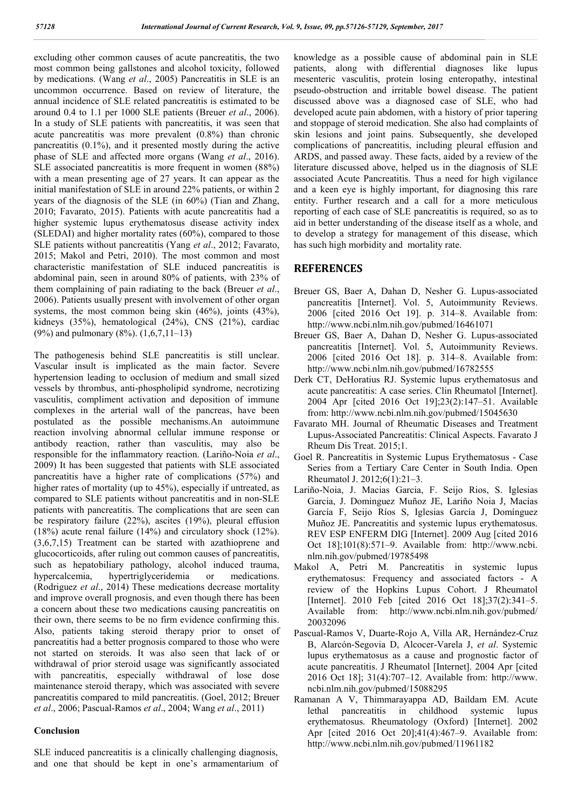excluding other common causes of acute pancreatitis, the two most common being gallstones and alcohol toxicity, followed by medications. (Wang *et al*., 2005) Pancreatitis in SLE is an uncommon occurrence. Based on review of literature, the annual incidence of SLE related pancreatitis is estimated to be around 0.4 to 1.1 per 1000 SLE patients (Breuer *et al*., 2006). In a study of SLE patients with pancreatitis, it was seen that acute pancreatitis was more prevalent (0.8%) than chronic pancreatitis (0.1%), and it presented mostly during the active phase of SLE and affected more organs (Wang *et al*., 2016). SLE associated pancreatitis is more frequent in women (88%) with a mean presenting age of 27 years. It can appear as the initial manifestation of SLE in around 22% patients, or within 2 years of the diagnosis of the SLE (in 60%) (Tian and Zhang, 2010; Favarato, 2015). Patients with acute pancreatitis had a higher systemic lupus erythematosus disease activity index (SLEDAI) and higher mortality rates (60%), compared to those SLE patients without pancreatitis (Yang *et al*., 2012; Favarato, 2015; Makol and Petri, 2010). The most common and most characteristic manifestation of SLE induced pancreatitis is abdominal pain, seen in around 80% of patients, with 23% of them complaining of pain radiating to the back (Breuer *et al*., 2006). Patients usually present with involvement of other organ systems, the most common being skin (46%), joints (43%), kidneys (35%), hematological (24%), CNS (21%), cardiac (9%) and pulmonary (8%). (1,6,7,11–13)

The pathogenesis behind SLE pancreatitis is still unclear. Vascular insult is implicated as the main factor. Severe hypertension leading to occlusion of medium and small sized vessels by thrombus, anti-phospholipid syndrome, necrotizing vasculitis, compliment activation and deposition of immune complexes in the arterial wall of the pancreas, have been postulated as the possible mechanisms.An autoimmune reaction involving abnormal cellular immune response or antibody reaction, rather than vasculitis, may also be responsible for the inflammatory reaction. (Lariño-Noia *et al*., 2009) It has been suggested that patients with SLE associated pancreatitis have a higher rate of complications (57%) and higher rates of mortality (up to 45%), especially if untreated, as compared to SLE patients without pancreatitis and in non-SLE patients with pancreatitis. The complications that are seen can be respiratory failure (22%), ascites (19%), pleural effusion (18%) acute renal failure (14%) and circulatory shock (12%). (3,6,7,15) Treatment can be started with azathioprene and glucocorticoids, after ruling out common causes of pancreatitis, such as hepatobiliary pathology, alcohol induced trauma, hypercalcemia, hypertriglyceridemia or medications. (Rodriguez *et al*., 2014) These medications decrease mortality and improve overall prognosis, and even though there has been a concern about these two medications causing pancreatitis on their own, there seems to be no firm evidence confirming this. Also, patients taking steroid therapy prior to onset of pancreatitis had a better prognosis compared to those who were not started on steroids. It was also seen that lack of or withdrawal of prior steroid usage was significantly associated with pancreatitis, especially withdrawal of lose dose maintenance steroid therapy, which was associated with severe pancreatitis compared to mild pancreatitis. (Goel, 2012; Breuer *et al*., 2006; Pascual-Ramos *et al*., 2004; Wang *et al*., 2011)

#### **Conclusion**

SLE induced pancreatitis is a clinically challenging diagnosis, and one that should be kept in one's armamentarium of knowledge as a possible cause of abdominal pain in SLE patients, along with differential diagnoses like lupus mesenteric vasculitis, protein losing enteropathy, intestinal pseudo-obstruction and irritable bowel disease. The patient discussed above was a diagnosed case of SLE, who had developed acute pain abdomen, with a history of prior tapering and stoppage of steroid medication. She also had complaints of skin lesions and joint pains. Subsequently, she developed complications of pancreatitis, including pleural effusion and ARDS, and passed away. These facts, aided by a review of the literature discussed above, helped us in the diagnosis of SLE associated Acute Pancreatitis. Thus a need for high vigilance and a keen eye is highly important, for diagnosing this rare entity. Further research and a call for a more meticulous reporting of each case of SLE pancreatitis is required, so as to aid in better understanding of the disease itself as a whole, and to develop a strategy for management of this disease, which has such high morbidity and mortality rate.

## **REFERENCES**

- Breuer GS, Baer A, Dahan D, Nesher G. Lupus-associated pancreatitis [Internet]. Vol. 5, Autoimmunity Reviews. 2006 [cited 2016 Oct 19]. p. 314–8. Available from: http://www.ncbi.nlm.nih.gov/pubmed/16461071
- Breuer GS, Baer A, Dahan D, Nesher G. Lupus-associated pancreatitis [Internet]. Vol. 5, Autoimmunity Reviews. 2006 [cited 2016 Oct 18]. p. 314–8. Available from: http://www.ncbi.nlm.nih.gov/pubmed/16782555
- Derk CT, DeHoratius RJ. Systemic lupus erythematosus and acute pancreatitis: A case series. Clin Rheumatol [Internet]. 2004 Apr [cited 2016 Oct 19];23(2):147–51. Available from: http://www.ncbi.nlm.nih.gov/pubmed/15045630
- Favarato MH. Journal of Rheumatic Diseases and Treatment Lupus-Associated Pancreatitis: Clinical Aspects. Favarato J Rheum Dis Treat. 2015;1.
- Goel R. Pancreatitis in Systemic Lupus Erythematosus Case Series from a Tertiary Care Center in South India. Open Rheumatol J. 2012;6(1):21–3.
- Lariño-Noia, J. Macias Garcia, F. Seijo Rios, S. Iglesias Garcia, J. Dominguez Muñoz JE, Lariño Noia J, Macías García F, Seijo Ríos S, Iglesias García J, Domínguez Muñoz JE. Pancreatitis and systemic lupus erythematosus. REV ESP ENFERM DIG [Internet]. 2009 Aug [cited 2016 Oct 18];101(8):571–9. Available from: http://www.ncbi. nlm.nih.gov/pubmed/19785498
- Makol A, Petri M. Pancreatitis in systemic lupus erythematosus: Frequency and associated factors - A review of the Hopkins Lupus Cohort. J Rheumatol [Internet]. 2010 Feb [cited 2016 Oct 18];37(2):341-5. Available from: http://www.ncbi.nlm.nih.gov/pubmed/ 20032096
- Pascual-Ramos V, Duarte-Rojo A, Villa AR, Hernández-Cruz B, Alarcón-Segovia D, Alcocer-Varela J, *et al*. Systemic lupus erythematosus as a cause and prognostic factor of acute pancreatitis. J Rheumatol [Internet]. 2004 Apr [cited 2016 Oct 18]; 31(4):707–12. Available from: http://www. ncbi.nlm.nih.gov/pubmed/15088295
- Ramanan A V, Thimmarayappa AD, Baildam EM. Acute lethal pancreatitis in childhood systemic lupus erythematosus. Rheumatology (Oxford) [Internet]. 2002 Apr [cited 2016 Oct 20];41(4):467–9. Available from: http://www.ncbi.nlm.nih.gov/pubmed/11961182